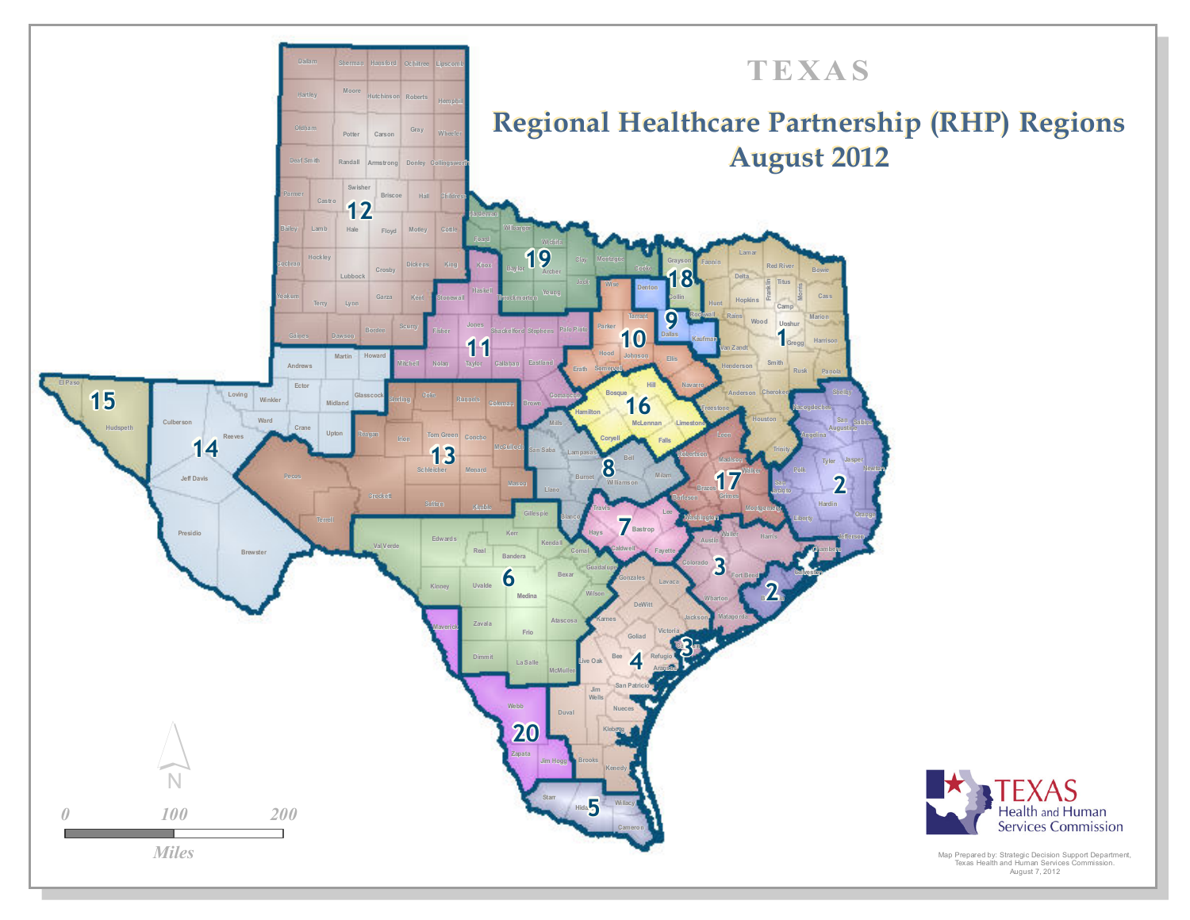